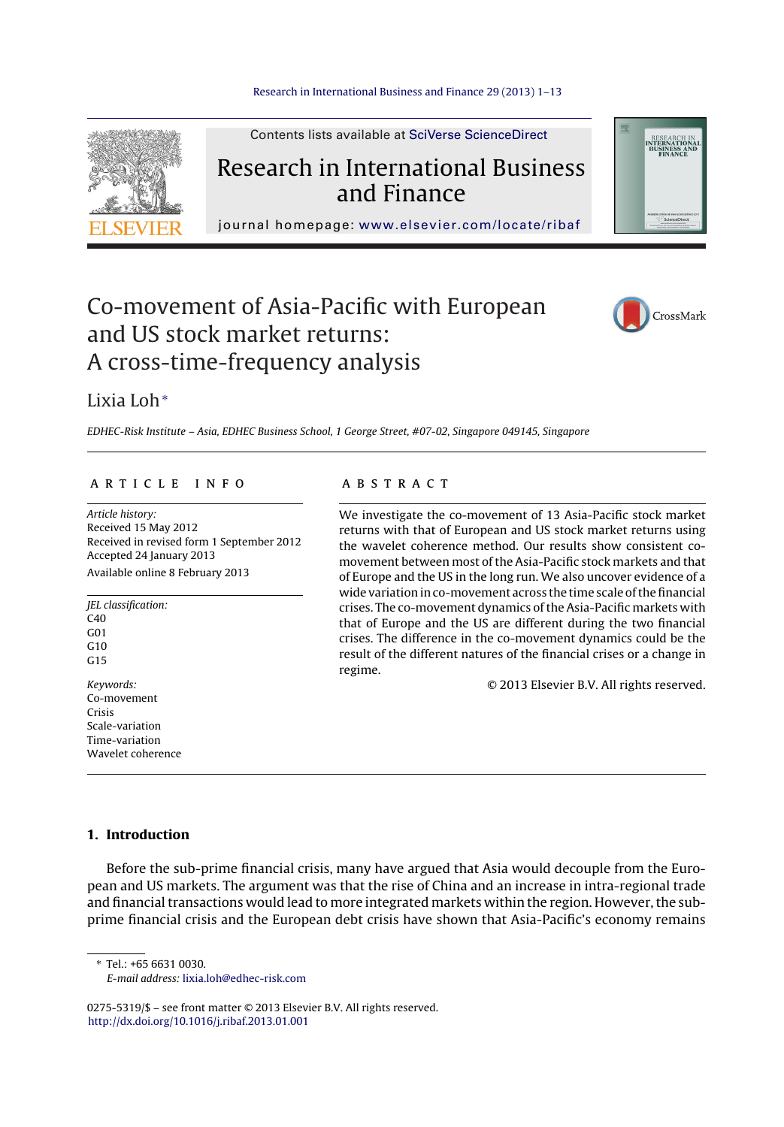

Contents lists available at SciVerse [ScienceDirect](http://www.sciencedirect.com/science/journal/02755319)

## Research in International Business and Finance

journal homepage: [www.elsevier.com/locate/ribaf](http://www.elsevier.com/locate/ribaf)

## Co-movement of Asia-Pacific with European and US stock market returns: A cross-time-frequency analysis



### Lixia Loh<sup>∗</sup>

EDHEC-Risk Institute – Asia, EDHEC Business School, 1 George Street, #07-02, Singapore 049145, Singapore

#### a r t i c l e i n f o

Article history: Received 15 May 2012 Received in revised form 1 September 2012 Accepted 24 January 2013 Available online 8 February 2013

JEL classification:  $C40$  $C<sub>01</sub>$ G<sub>10</sub>  $G15$ Keywords: Co-movement

Crisis Scale-variation Time-variation Wavelet coherence

#### a b s t r a c t

We investigate the co-movement of 13 Asia-Pacific stock market returns with that of European and US stock market returns using the wavelet coherence method. Our results show consistent comovement between most of the Asia-Pacific stock markets and that of Europe and the US in the long run. We also uncover evidence of a wide variation in co-movement across the time scale of the financial crises. The co-movement dynamics ofthe Asia-Pacific markets with that of Europe and the US are different during the two financial crises. The difference in the co-movement dynamics could be the result of the different natures of the financial crises or a change in regime.

© 2013 Elsevier B.V. All rights reserved.

#### **1. Introduction**

Before the sub-prime financial crisis, many have argued that Asia would decouple from the European and US markets. The argument was that the rise of China and an increase in intra-regional trade and financial transactions would lead to more integrated markets within the region. However, the subprime financial crisis and the European debt crisis have shown that Asia-Pacific's economy remains

∗ Tel.: +65 6631 0030.

E-mail address: [lixia.loh@edhec-risk.com](mailto:lixia.loh@edhec-risk.com)

0275-5319/\$ – see front matter © 2013 Elsevier B.V. All rights reserved. [http://dx.doi.org/10.1016/j.ribaf.2013.01.001](dx.doi.org/10.1016/j.ribaf.2013.01.001)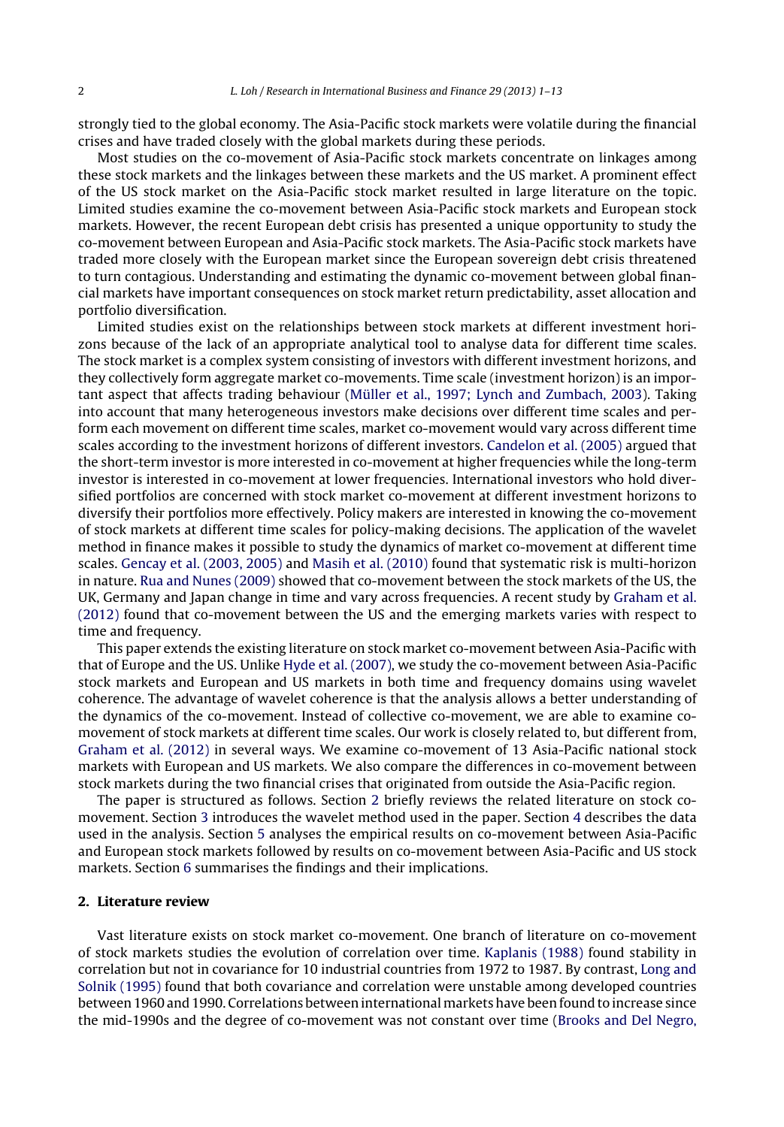strongly tied to the global economy. The Asia-Pacific stock markets were volatile during the financial crises and have traded closely with the global markets during these periods.

Most studies on the co-movement of Asia-Pacific stock markets concentrate on linkages among these stock markets and the linkages between these markets and the US market. A prominent effect of the US stock market on the Asia-Pacific stock market resulted in large literature on the topic. Limited studies examine the co-movement between Asia-Pacific stock markets and European stock markets. However, the recent European debt crisis has presented a unique opportunity to study the co-movement between European and Asia-Pacific stock markets. The Asia-Pacific stock markets have traded more closely with the European market since the European sovereign debt crisis threatened to turn contagious. Understanding and estimating the dynamic co-movement between global financial markets have important consequences on stock market return predictability, asset allocation and portfolio diversification.

Limited studies exist on the relationships between stock markets at different investment horizons because of the lack of an appropriate analytical tool to analyse data for different time scales. The stock market is a complex system consisting of investors with different investment horizons, and they collectively form aggregate market co-movements. Time scale (investment horizon) is an important aspect that affects trading behaviour ([Müller](#page--1-0) et [al.,](#page--1-0) [1997;](#page--1-0) [Lynch](#page--1-0) [and](#page--1-0) [Zumbach,](#page--1-0) [2003\).](#page--1-0) Taking into account that many heterogeneous investors make decisions over different time scales and perform each movement on different time scales, market co-movement would vary across different time scales according to the investment horizons of different investors. [Candelon](#page--1-0) et [al.](#page--1-0) [\(2005\)](#page--1-0) argued that the short-term investor is more interested in co-movement at higher frequencies while the long-term investor is interested in co-movement at lower frequencies. International investors who hold diversified portfolios are concerned with stock market co-movement at different investment horizons to diversify their portfolios more effectively. Policy makers are interested in knowing the co-movement of stock markets at different time scales for policy-making decisions. The application of the wavelet method in finance makes it possible to study the dynamics of market co-movement at different time scales. [Gencay](#page--1-0) et [al.](#page--1-0) [\(2003,](#page--1-0) [2005\)](#page--1-0) and [Masih](#page--1-0) et [al.](#page--1-0) [\(2010\)](#page--1-0) found that systematic risk is multi-horizon in nature. [Rua](#page--1-0) [and](#page--1-0) [Nunes](#page--1-0) [\(2009\)](#page--1-0) showed that co-movement between the stock markets of the US, the UK, Germany and Japan change in time and vary across frequencies. A recent study by [Graham](#page--1-0) et [al.](#page--1-0) [\(2012\)](#page--1-0) found that co-movement between the US and the emerging markets varies with respect to time and frequency.

This paper extends the existing literature on stock market co-movement between Asia-Pacific with that of Europe and the US. Unlike [Hyde](#page--1-0) et [al.](#page--1-0) [\(2007\),](#page--1-0) we study the co-movement between Asia-Pacific stock markets and European and US markets in both time and frequency domains using wavelet coherence. The advantage of wavelet coherence is that the analysis allows a better understanding of the dynamics of the co-movement. Instead of collective co-movement, we are able to examine comovement of stock markets at different time scales. Our work is closely related to, but different from, [Graham](#page--1-0) et [al.](#page--1-0) [\(2012\)](#page--1-0) in several ways. We examine co-movement of 13 Asia-Pacific national stock markets with European and US markets. We also compare the differences in co-movement between stock markets during the two financial crises that originated from outside the Asia-Pacific region.

The paper is structured as follows. Section 2 briefly reviews the related literature on stock comovement. Section [3](#page--1-0) introduces the wavelet method used in the paper. Section [4](#page--1-0) describes the data used in the analysis. Section [5](#page--1-0) analyses the empirical results on co-movement between Asia-Pacific and European stock markets followed by results on co-movement between Asia-Pacific and US stock markets. Section [6](#page--1-0) summarises the findings and their implications.

#### **2. Literature review**

Vast literature exists on stock market co-movement. One branch of literature on co-movement of stock markets studies the evolution of correlation over time. [Kaplanis](#page--1-0) [\(1988\)](#page--1-0) found stability in correlation but not in covariance for 10 industrial countries from 1972 to 1987. By contrast, [Long](#page--1-0) [and](#page--1-0) [Solnik](#page--1-0) [\(1995\)](#page--1-0) found that both covariance and correlation were unstable among developed countries between1960 and 1990. Correlations betweeninternationalmarketshave beenfound to increase since the mid-1990s and the degree of co-movement was not constant over time ([Brooks](#page--1-0) [and](#page--1-0) [Del](#page--1-0) [Negro,](#page--1-0)